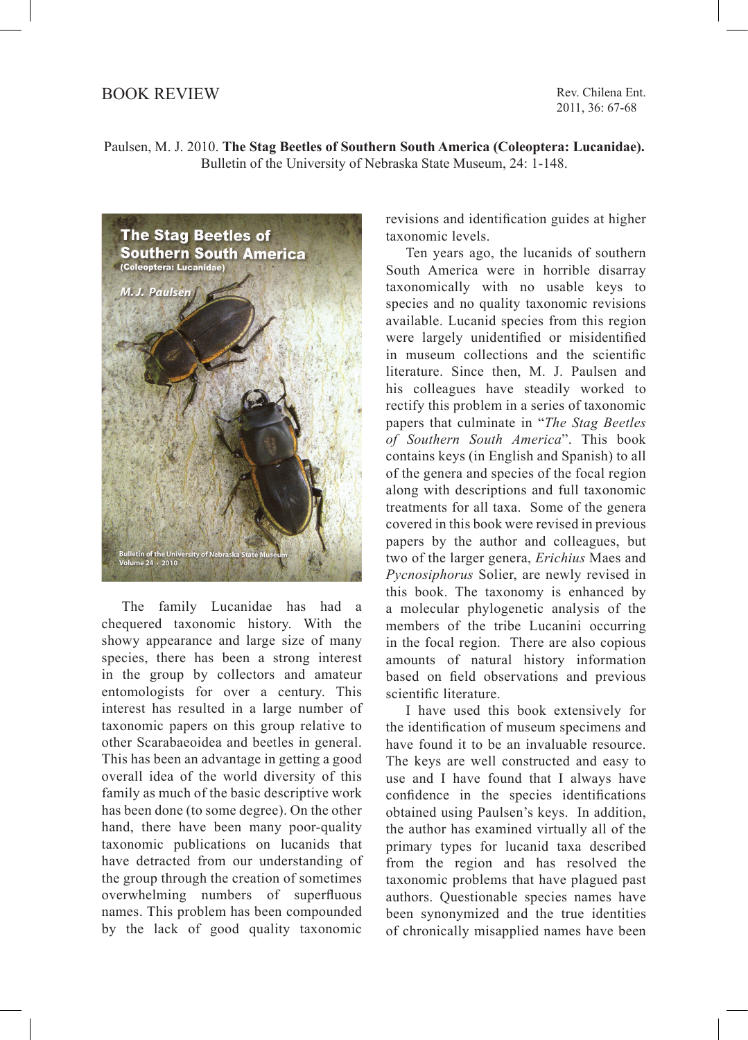## BOOK REVIEW

Rev. Chilena Ent. 2011, 36: 67-68





The family Lucanidae has had a chequered taxonomic history. With the showy appearance and large size of many species, there has been a strong interest in the group by collectors and amateur entomologists for over a century. This interest has resulted in a large number of taxonomic papers on this group relative to other Scarabaeoidea and beetles in general. This has been an advantage in getting a good overall idea of the world diversity of this family as much of the basic descriptive work has been done (to some degree). On the other hand, there have been many poor-quality taxonomic publications on lucanids that have detracted from our understanding of the group through the creation of sometimes overwhelming numbers of superfluous names. This problem has been compounded by the lack of good quality taxonomic

revisions and identification guides at higher taxonomic levels.

Ten years ago, the lucanids of southern South America were in horrible disarray taxonomically with no usable keys to species and no quality taxonomic revisions available. Lucanid species from this region were largely unidentified or misidentified in museum collections and the scientific literature. Since then, M. J. Paulsen and his colleagues have steadily worked to rectify this problem in a series of taxonomic papers that culminate in "*The Stag Beetles of Southern South America*". This book contains keys (in English and Spanish) to all of the genera and species of the focal region along with descriptions and full taxonomic treatments for all taxa. Some of the genera covered in this book were revised in previous papers by the author and colleagues, but two of the larger genera, *Erichius* Maes and *Pycnosiphorus* Solier, are newly revised in this book. The taxonomy is enhanced by a molecular phylogenetic analysis of the members of the tribe Lucanini occurring in the focal region. There are also copious amounts of natural history information based on field observations and previous scientific literature.

I have used this book extensively for the identification of museum specimens and have found it to be an invaluable resource. The keys are well constructed and easy to use and I have found that I always have confidence in the species identifications obtained using Paulsen's keys. In addition, the author has examined virtually all of the primary types for lucanid taxa described from the region and has resolved the taxonomic problems that have plagued past authors. Questionable species names have been synonymized and the true identities of chronically misapplied names have been